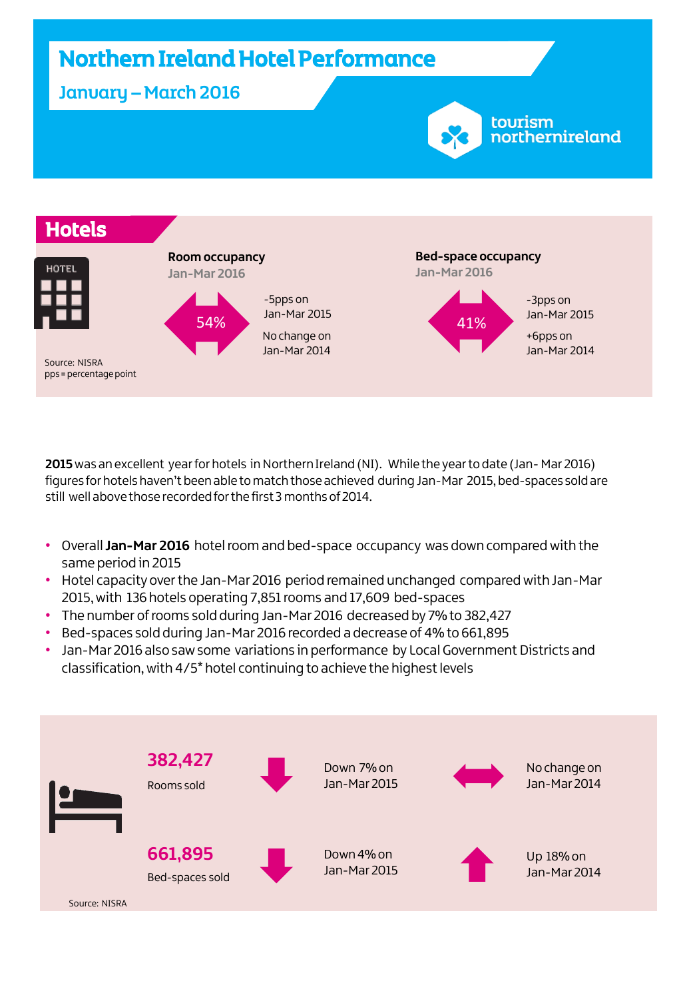

**2015**was an excellent year for hotels in Northern Ireland (NI). While the year to date (Jan- Mar 2016) figures for hotels haven't been able to match those achieved during Jan-Mar 2015, bed-spaces sold are still well above those recorded for the first 3 months of 2014.

- Overall **Jan-Mar 2016** hotel room and bed-space occupancy was down compared with the same period in 2015
- Hotel capacity over the Jan-Mar 2016 period remained unchanged compared with Jan-Mar 2015, with 136 hotels operating 7,851 rooms and 17,609 bed-spaces
- The number of rooms sold during Jan-Mar 2016 decreased by 7% to 382,427
- Bed-spaces sold during Jan-Mar 2016 recorded a decrease of 4% to 661,895
- Jan-Mar 2016 also saw some variations in performance by Local Government Districts and classification, with 4/5\* hotel continuing to achieve the highest levels

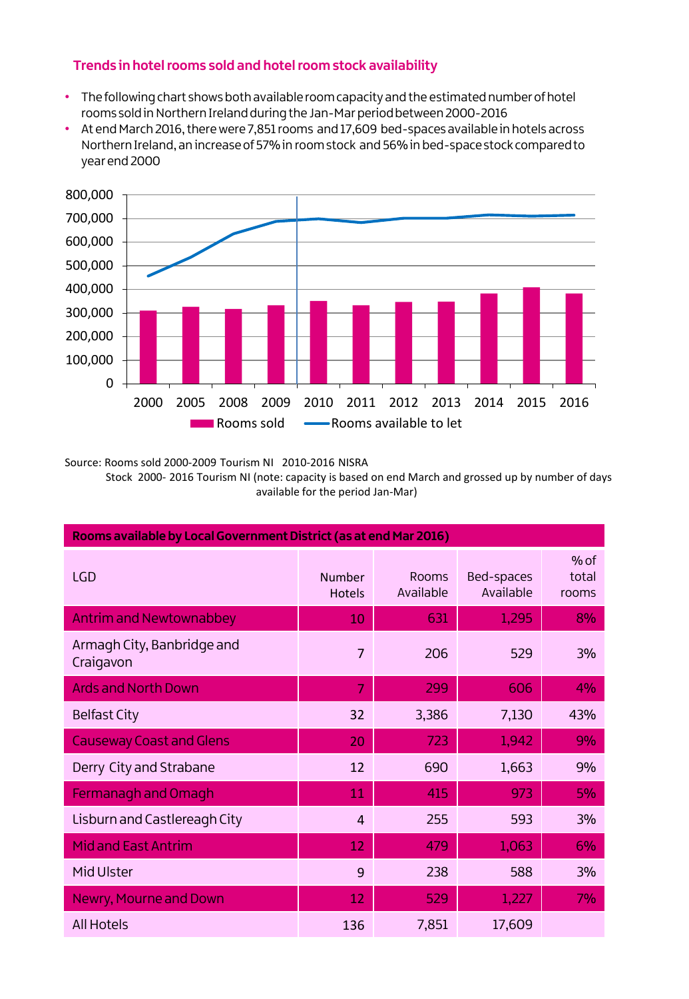### **Trends in hotel rooms sold and hotel room stock availability**

- The following chart shows both available room capacity and the estimated number of hotel rooms sold in Northern Ireland during the Jan-Mar period between 2000-2016
- At end March 2016, there were 7,851 rooms and 17,609 bed-spaces available in hotels across Northern Ireland, an increase of 57% in room stock and 56% in bed-space stock compared to year end 2000



Source: Rooms sold 2000-2009 Tourism NI 2010-2016 NISRA Stock 2000- 2016 Tourism NI (note: capacity is based on end March and grossed up by number of days available for the period Jan-Mar)

| Rooms available by Local Government District (as at end Mar 2016) |                                |                    |                         |                          |  |  |  |  |  |
|-------------------------------------------------------------------|--------------------------------|--------------------|-------------------------|--------------------------|--|--|--|--|--|
| <b>LGD</b>                                                        | <b>Number</b><br><b>Hotels</b> | Rooms<br>Available | Bed-spaces<br>Available | $%$ of<br>total<br>rooms |  |  |  |  |  |
| <b>Antrim and Newtownabbey</b>                                    | 10                             | 631                | 1,295                   | 8%                       |  |  |  |  |  |
| Armagh City, Banbridge and<br>Craigavon                           | 7                              | 206                | 529                     | 3%                       |  |  |  |  |  |
| <b>Ards and North Down</b>                                        | 7                              | 299                | 606                     | 4%                       |  |  |  |  |  |
| <b>Belfast City</b>                                               | 32                             | 3,386              | 7,130                   | 43%                      |  |  |  |  |  |
| <b>Causeway Coast and Glens</b>                                   | 20                             | 723                | 1,942                   | 9%                       |  |  |  |  |  |
| Derry City and Strabane                                           | 12                             | 690                | 1,663                   | 9%                       |  |  |  |  |  |
| Fermanagh and Omagh                                               | 11                             | 415                | 973                     | 5%                       |  |  |  |  |  |
| Lisburn and Castlereagh City                                      | $\overline{4}$                 | 255                | 593                     | 3%                       |  |  |  |  |  |
| <b>Mid and East Antrim</b>                                        | 12                             | 479                | 1,063                   | 6%                       |  |  |  |  |  |
| Mid Ulster                                                        | 9                              | 238                | 588                     | 3%                       |  |  |  |  |  |
| Newry, Mourne and Down                                            | 12                             | 529                | 1,227                   | 7%                       |  |  |  |  |  |
| <b>All Hotels</b>                                                 | 136                            | 7,851              | 17,609                  |                          |  |  |  |  |  |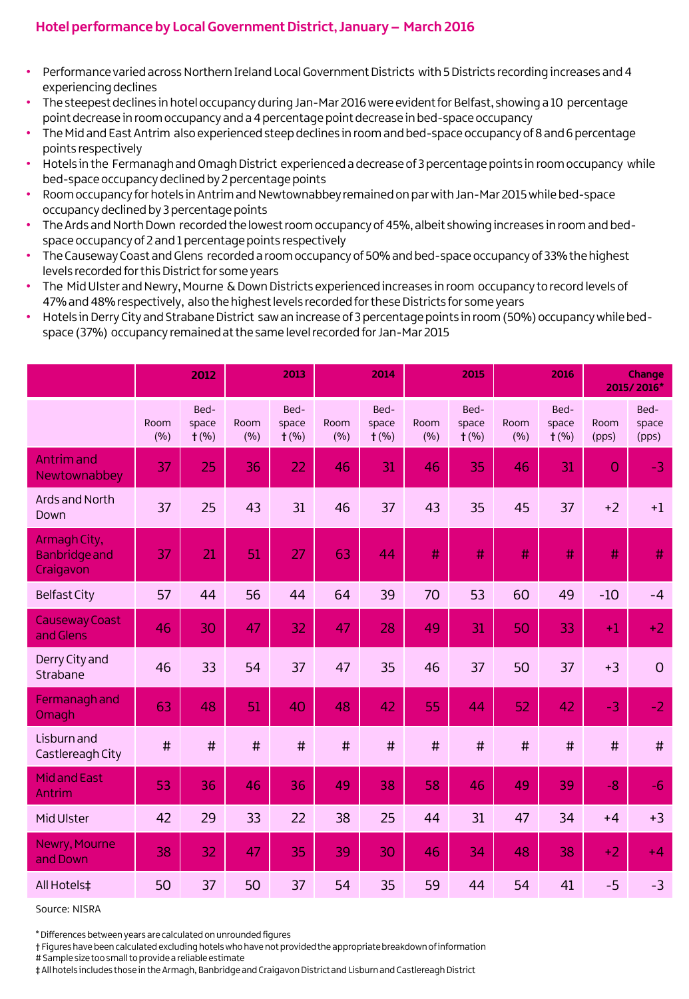## **Hotel performance by Local Government District, January – March 2016**

- Performance varied across Northern Ireland Local Government Districts with 5 Districts recording increases and 4 experiencing declines
- The steepest declines in hotel occupancy during Jan-Mar 2016 were evident for Belfast, showing a 10 percentage point decrease in room occupancy and a 4 percentage point decrease in bed-space occupancy
- The Mid and East Antrim also experienced steep declines in room and bed-space occupancy of 8 and 6 percentage points respectively
- Hotels in the Fermanagh and Omagh District experienced a decrease of 3 percentage points in room occupancy while bed-space occupancy declined by 2 percentage points
- Room occupancy for hotels in Antrim and Newtownabbey remained on par with Jan-Mar 2015 while bed-space occupancy declined by 3 percentage points
- The Ards and North Down recorded the lowest room occupancy of 45%, albeit showing increases in room and bedspace occupancy of 2 and 1 percentage points respectively
- The Causeway Coast and Glens recorded a room occupancy of 50% and bed-space occupancy of 33% the highest levels recorded for this District for some years
- The Mid Ulster and Newry, Mourne & Down Districts experienced increases in room occupancy to record levels of 47% and 48% respectively, also the highest levels recorded for these Districts for some years
- Hotels in Derry City and Strabane District saw an increase of 3 percentage points in room (50%) occupancy while bedspace (37%) occupancy remained at the same level recorded for Jan-Mar 2015

|                                                   |             | 2012                     |             | 2013                     |             | 2014                     |             | 2015                     |             | 2016                     |                | Change<br>2015/2016*   |  |
|---------------------------------------------------|-------------|--------------------------|-------------|--------------------------|-------------|--------------------------|-------------|--------------------------|-------------|--------------------------|----------------|------------------------|--|
|                                                   | Room<br>(%) | Bed-<br>space<br>$t$ (%) | Room<br>(%) | Bed-<br>space<br>$t$ (%) | Room<br>(%) | Bed-<br>space<br>$t$ (%) | Room<br>(%) | Bed-<br>space<br>$t$ (%) | Room<br>(%) | Bed-<br>space<br>$t$ (%) | Room<br>(pps)  | Bed-<br>space<br>(pps) |  |
| <b>Antrimand</b><br>Newtownabbey                  | 37          | 25                       | 36          | 22                       | 46          | 31                       | 46          | 35                       | 46          | 31                       | $\overline{O}$ | $-3$                   |  |
| Ards and North<br>Down                            | 37          | 25                       | 43          | 31                       | 46          | 37                       | 43          | 35                       | 45          | 37                       | $+2$           | $+1$                   |  |
| Armagh City,<br><b>Banbridge and</b><br>Craigavon | 37          | 21                       | 51          | 27                       | 63          | 44                       | #           | #                        | #           | #                        | #              | #                      |  |
| <b>Belfast City</b>                               | 57          | 44                       | 56          | 44                       | 64          | 39                       | 70          | 53                       | 60          | 49                       | $-10$          | $-4$                   |  |
| <b>Causeway Coast</b><br>and Glens                | 46          | 30                       | 47          | 32                       | 47          | 28                       | 49          | 31                       | 50          | 33                       | $+1$           | $+2$                   |  |
| Derry City and<br>Strabane                        | 46          | 33                       | 54          | 37                       | 47          | 35                       | 46          | 37                       | 50          | 37                       | $+3$           | $\overline{0}$         |  |
| Fermanagh and<br>Omagh                            | 63          | 48                       | 51          | 40                       | 48          | 42                       | 55          | 44                       | 52          | 42                       | $-3$           | $-2$                   |  |
| Lisburn and<br>Castlereagh City                   | $\sharp$    | #                        | #           | #                        | $\sharp$    | $\sharp$                 | $\sharp$    | #                        | $\sharp$    | #                        | #              | $\sharp$               |  |
| <b>Midand East</b><br>Antrim                      | 53          | 36                       | 46          | 36                       | 49          | 38                       | 58          | 46                       | 49          | 39                       | $-8$           | $-6$                   |  |
| Mid Ulster                                        | 42          | 29                       | 33          | 22                       | 38          | 25                       | 44          | 31                       | 47          | 34                       | $+4$           | $+3$                   |  |
| Newry, Mourne<br>and Down                         | 38          | 32                       | 47          | 35                       | 39          | 30                       | 46          | 34                       | 48          | 38                       | $+2$           | $+4$                   |  |
| All Hotels‡                                       | 50          | 37                       | 50          | 37                       | 54          | 35                       | 59          | 44                       | 54          | 41                       | $-5$           | $-3$                   |  |

Source: NISRA

\* Differences between years are calculated on unrounded figures

† Figures have been calculated excluding hotels who have not provided the appropriate breakdown of information

# Sample size too small to provide a reliable estimate

‡ All hotels includes those in the Armagh, Banbridge and Craigavon District and Lisburn and Castlereagh District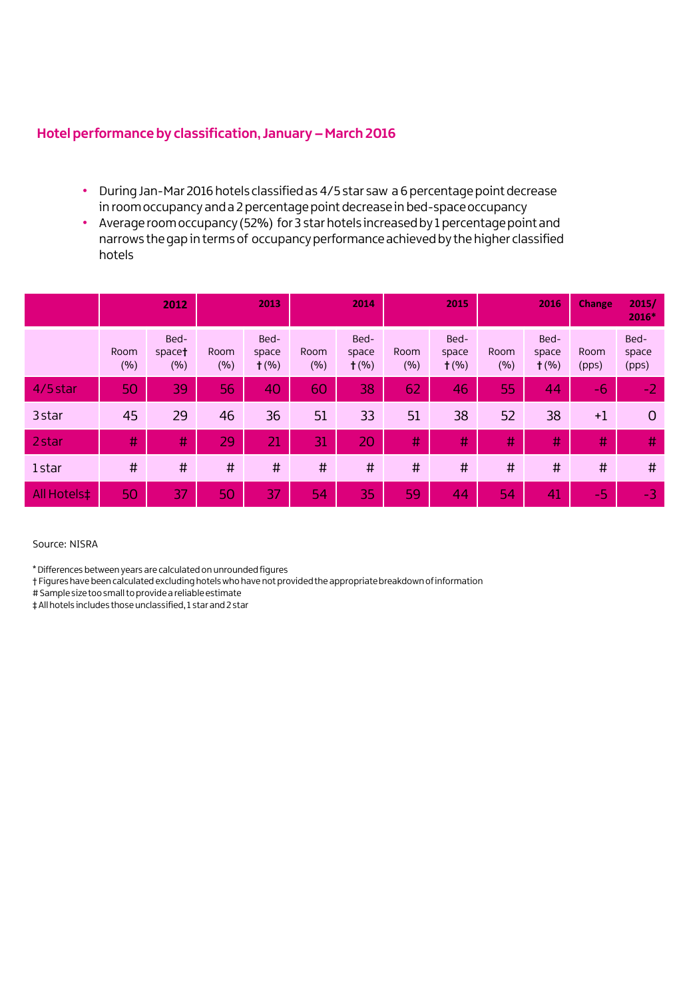### **Hotel performance by classification, January –March 2016**

- During Jan-Mar 2016 hotels classified as 4/5 star saw a 6 percentage point decrease in room occupancy and a 2 percentage point decrease in bed-space occupancy
- Average room occupancy (52%) for 3 star hotels increased by 1 percentage point and narrows the gap in terms of occupancy performance achieved by the higher classified hotels

|             |             | 2012                  | 2013        |                          | 2014        |                          | 2015        |                          | 2016        |                          | <b>Change</b> | 2015/<br>2016*         |
|-------------|-------------|-----------------------|-------------|--------------------------|-------------|--------------------------|-------------|--------------------------|-------------|--------------------------|---------------|------------------------|
|             | Room<br>(%) | Bed-<br>space†<br>(%) | Room<br>(%) | Bed-<br>space<br>$+$ (%) | Room<br>(%) | Bed-<br>space<br>$+$ (%) | Room<br>(%) | Bed-<br>space<br>$t$ (%) | Room<br>(%) | Bed-<br>space<br>$t$ (%) | Room<br>(pps) | Bed-<br>space<br>(pps) |
| 4/5 star    | 50          | 39                    | 56          | 40                       | 60          | 38                       | 62          | 46                       | 55          | 44                       | $-6$          | $-2$                   |
| 3 star      | 45          | 29                    | 46          | 36                       | 51          | 33                       | 51          | 38                       | 52          | 38                       | $+1$          | $\Omega$               |
| 2 star      | #           | #                     | 29          | 21                       | 31          | 20                       | #           | #                        | #           | #                        | #             | #                      |
| 1star       | $\sharp$    | #                     | #           | $\sharp$                 | #           | #                        | $\sharp$    | #                        | $\sharp$    | #                        | #             | #                      |
| All Hotels‡ | 50          | 37                    | 50          | 37                       | 54          | 35                       | 59          | 44                       | 54          | 41                       | $-5$          | $-3$                   |

#### Source: NISRA

\* Differences between years are calculated on unrounded figures

† Figures have been calculated excluding hotels who have not provided the appropriate breakdown of information

# Sample size too small to provide a reliable estimate

‡ All hotels includes those unclassified, 1 star and 2 star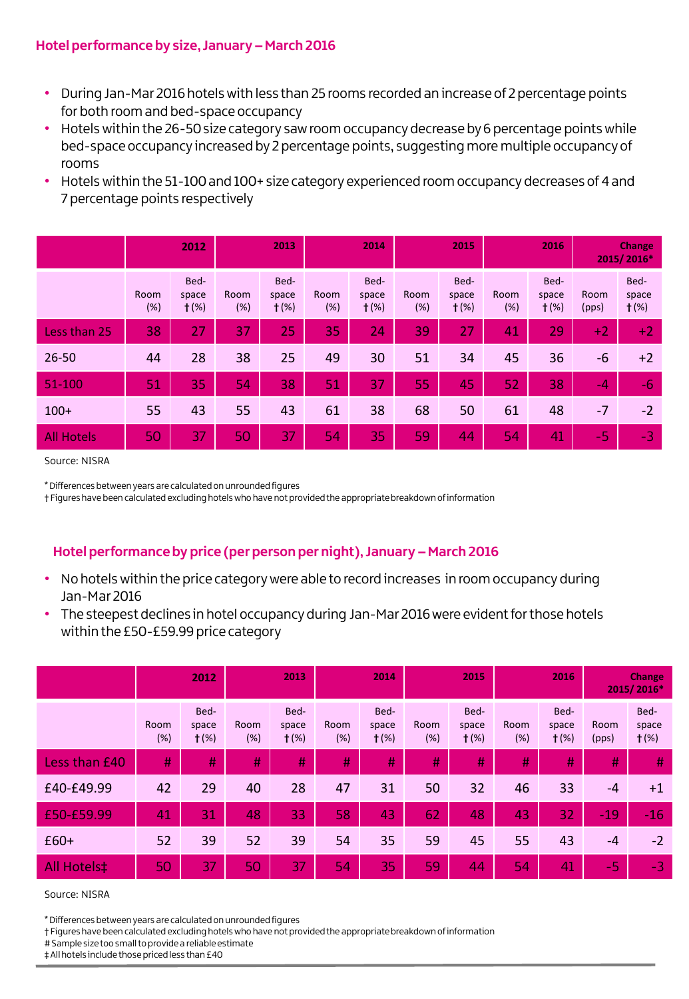## **Hotel performance by size, January –March 2016**

- During Jan-Mar 2016 hotels with less than 25 rooms recorded an increase of 2 percentage points for both room and bed-space occupancy
- Hotels within the 26-50 size category saw room occupancy decrease by 6 percentage points while bed-space occupancy increased by 2 percentage points, suggesting more multiple occupancy of rooms
- Hotels within the 51-100 and 100+ size category experienced room occupancy decreases of 4 and 7 percentage points respectively

|                   | 2012        |                          | 2013        |                          | 2014        |                          | 2015        |                          | 2016        |                          | <b>Change</b><br>2015/2016* |                          |
|-------------------|-------------|--------------------------|-------------|--------------------------|-------------|--------------------------|-------------|--------------------------|-------------|--------------------------|-----------------------------|--------------------------|
|                   | Room<br>(%) | Bed-<br>space<br>$+$ (%) | Room<br>(%) | Bed-<br>space<br>$+$ (%) | Room<br>(%) | Bed-<br>space<br>$+$ (%) | Room<br>(%) | Bed-<br>space<br>$t$ (%) | Room<br>(%) | Bed-<br>space<br>$t$ (%) | Room<br>(pps)               | Bed-<br>space<br>$t$ (%) |
| Less than 25      | 38          | 27                       | 37          | 25                       | 35          | 24                       | 39          | 27                       | 41          | 29                       | $+2$                        | $+2$                     |
| $26 - 50$         | 44          | 28                       | 38          | 25                       | 49          | 30                       | 51          | 34                       | 45          | 36                       | $-6$                        | $+2$                     |
| $51 - 100$        | 51          | 35                       | 54          | 38                       | 51          | 37                       | 55          | 45                       | 52          | 38                       | $-4$                        | -6                       |
| $100+$            | 55          | 43                       | 55          | 43                       | 61          | 38                       | 68          | 50                       | 61          | 48                       | $-7$                        | $-2$                     |
| <b>All Hotels</b> | 50          | 37                       | 50          | 37                       | 54          | 35                       | 59          | 44                       | 54          | 41                       | $-5$                        | -3                       |

Source: NISRA

\* Differences between years are calculated on unrounded figures

† Figures have been calculated excluding hotels who have not provided the appropriate breakdown of information

# **Hotel performance by price (per person per night), January –March 2016**

- No hotels within the price category were able to record increases in room occupancy during Jan-Mar 2016
- The steepest declines in hotel occupancy during Jan-Mar 2016 were evident for those hotels within the £50-£59.99 price category

|                    | 2012        |                          | 2013        |                          | 2014        |                          | 2015        |                          | 2016        |                          | Change<br>2015/2016* |                          |
|--------------------|-------------|--------------------------|-------------|--------------------------|-------------|--------------------------|-------------|--------------------------|-------------|--------------------------|----------------------|--------------------------|
|                    | Room<br>(%) | Bed-<br>space<br>$+$ (%) | Room<br>(%) | Bed-<br>space<br>$+$ (%) | Room<br>(%) | Bed-<br>space<br>$+$ (%) | Room<br>(%) | Bed-<br>space<br>$+$ (%) | Room<br>(%) | Bed-<br>space<br>$+$ (%) | Room<br>(pps)        | Bed-<br>space<br>$+$ (%) |
| Less than £40      | H,          | #                        | #           | $\sharp$                 | #           | #                        | #           | #                        | #           | #                        | #                    | #                        |
| £40-£49.99         | 42          | 29                       | 40          | 28                       | 47          | 31                       | 50          | 32                       | 46          | 33                       | $-4$                 | $+1$                     |
| £50-£59.99         | 41          | 31                       | 48          | 33                       | 58          | 43                       | 62          | 48                       | 43          | 32                       | $-19$                | $-16$                    |
| $£60+$             | 52          | 39                       | 52          | 39                       | 54          | 35                       | 59          | 45                       | 55          | 43                       | $-4$                 | $-2$                     |
| <b>All Hotels‡</b> | 50          | 37                       | 50          | 37                       | 54          | 35                       | 59          | 44                       | 54          | 41                       | $-5$                 | $-3$                     |

Source: NISRA

\* Differences between years are calculated on unrounded figures

† Figures have been calculated excluding hotels who have not provided the appropriate breakdown of information

# Sample size too small to provide a reliable estimate

‡ All hotels include those priced less than £40